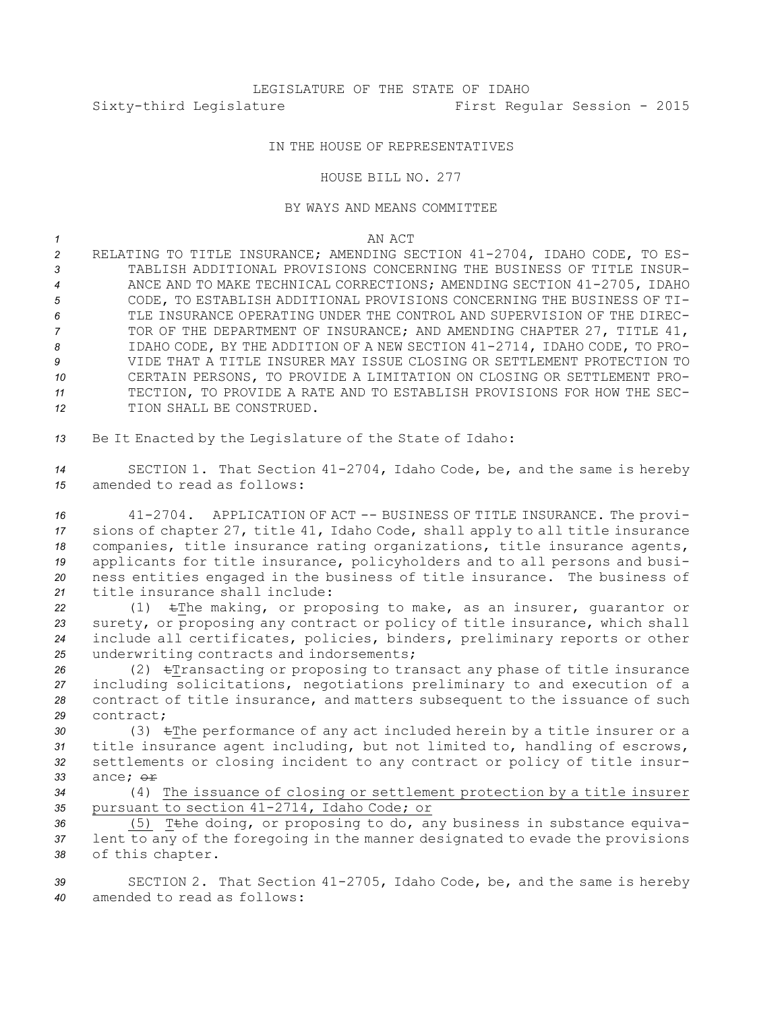## IN THE HOUSE OF REPRESENTATIVES

## HOUSE BILL NO. 277

## BY WAYS AND MEANS COMMITTEE

*1* AN ACT

 RELATING TO TITLE INSURANCE; AMENDING SECTION 41-2704, IDAHO CODE, TO ES- TABLISH ADDITIONAL PROVISIONS CONCERNING THE BUSINESS OF TITLE INSUR- ANCE AND TO MAKE TECHNICAL CORRECTIONS; AMENDING SECTION 41-2705, IDAHO CODE, TO ESTABLISH ADDITIONAL PROVISIONS CONCERNING THE BUSINESS OF TI- TLE INSURANCE OPERATING UNDER THE CONTROL AND SUPERVISION OF THE DIREC- TOR OF THE DEPARTMENT OF INSURANCE; AND AMENDING CHAPTER 27, TITLE 41, IDAHO CODE, BY THE ADDITION OF A NEW SECTION 41-2714, IDAHO CODE, TO PRO- VIDE THAT A TITLE INSURER MAY ISSUE CLOSING OR SETTLEMENT PROTECTION TO CERTAIN PERSONS, TO PROVIDE A LIMITATION ON CLOSING OR SETTLEMENT PRO- TECTION, TO PROVIDE A RATE AND TO ESTABLISH PROVISIONS FOR HOW THE SEC-TION SHALL BE CONSTRUED.

*<sup>13</sup>* Be It Enacted by the Legislature of the State of Idaho:

*<sup>14</sup>* SECTION 1. That Section 41-2704, Idaho Code, be, and the same is hereby *15* amended to read as follows:

 41-2704. APPLICATION OF ACT -- BUSINESS OF TITLE INSURANCE. The provi- sions of chapter 27, title 41, Idaho Code, shall apply to all title insurance companies, title insurance rating organizations, title insurance agents, applicants for title insurance, policyholders and to all persons and busi- ness entities engaged in the business of title insurance. The business of title insurance shall include:

 (1) tThe making, or proposing to make, as an insurer, guarantor or surety, or proposing any contract or policy of title insurance, which shall include all certificates, policies, binders, preliminary reports or other underwriting contracts and indorsements;

 (2) tTransacting or proposing to transact any phase of title insurance including solicitations, negotiations preliminary to and execution of <sup>a</sup> contract of title insurance, and matters subsequent to the issuance of such contract;

 (3) tThe performance of any act included herein by <sup>a</sup> title insurer or <sup>a</sup> title insurance agent including, but not limited to, handling of escrows, settlements or closing incident to any contract or policy of title insur-*33* ance; or

*<sup>34</sup>* (4) The issuance of closing or settlement protection by <sup>a</sup> title insurer *<sup>35</sup>* pursuant to section 41-2714, Idaho Code; or

36 (5) T<sub>the doing, or proposing to do, any business in substance equiva-</sub> *<sup>37</sup>* lent to any of the foregoing in the manner designated to evade the provisions *<sup>38</sup>* of this chapter.

*<sup>39</sup>* SECTION 2. That Section 41-2705, Idaho Code, be, and the same is hereby *40* amended to read as follows: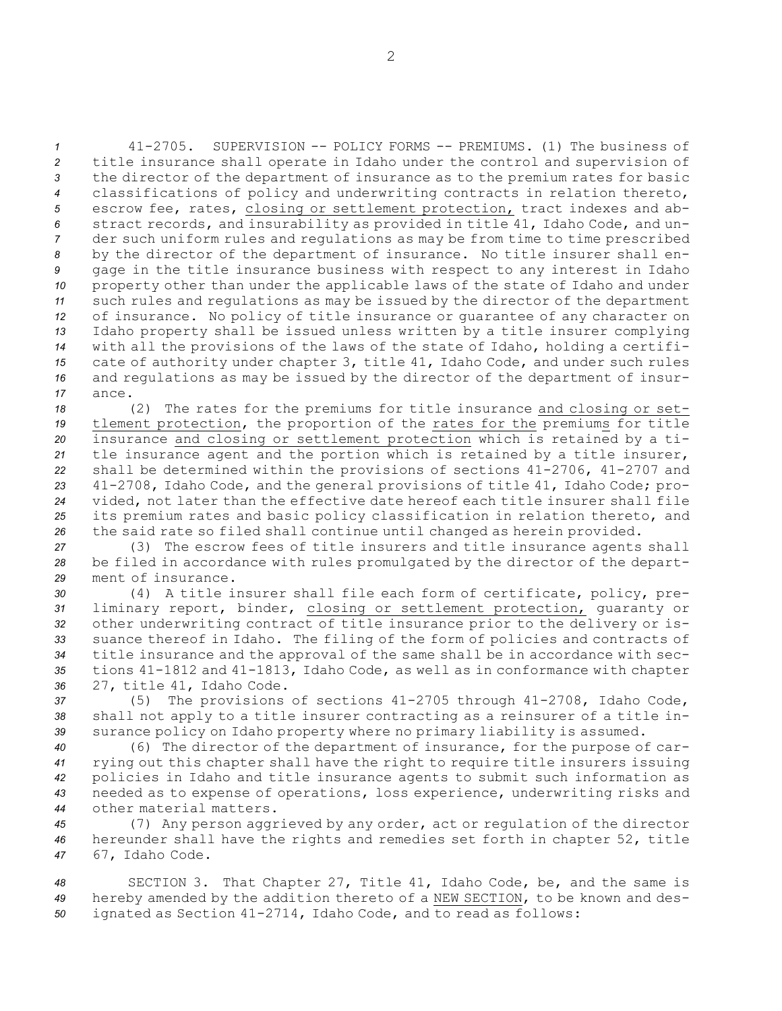41-2705. SUPERVISION -- POLICY FORMS -- PREMIUMS. (1) The business of title insurance shall operate in Idaho under the control and supervision of the director of the department of insurance as to the premium rates for basic classifications of policy and underwriting contracts in relation thereto, escrow fee, rates, closing or settlement protection, tract indexes and ab- stract records, and insurability as provided in title 41, Idaho Code, and un- der such uniform rules and regulations as may be from time to time prescribed by the director of the department of insurance. No title insurer shall en- gage in the title insurance business with respect to any interest in Idaho property other than under the applicable laws of the state of Idaho and under such rules and regulations as may be issued by the director of the department of insurance. No policy of title insurance or guarantee of any character on Idaho property shall be issued unless written by <sup>a</sup> title insurer complying with all the provisions of the laws of the state of Idaho, holding <sup>a</sup> certifi- cate of authority under chapter 3, title 41, Idaho Code, and under such rules and regulations as may be issued by the director of the department of insur-*17* ance.

 (2) The rates for the premiums for title insurance and closing or set- tlement protection, the proportion of the rates for the premiums for title insurance and closing or settlement protection which is retained by <sup>a</sup> ti- tle insurance agent and the portion which is retained by <sup>a</sup> title insurer, shall be determined within the provisions of sections 41-2706, 41-2707 and 41-2708, Idaho Code, and the general provisions of title 41, Idaho Code; pro- vided, not later than the effective date hereof each title insurer shall file its premium rates and basic policy classification in relation thereto, and the said rate so filed shall continue until changed as herein provided.

*<sup>27</sup>* (3) The escrow fees of title insurers and title insurance agents shall *<sup>28</sup>* be filed in accordance with rules promulgated by the director of the depart-*29* ment of insurance.

 (4) <sup>A</sup> title insurer shall file each form of certificate, policy, pre- liminary report, binder, closing or settlement protection, guaranty or other underwriting contract of title insurance prior to the delivery or is- suance thereof in Idaho. The filing of the form of policies and contracts of title insurance and the approval of the same shall be in accordance with sec- tions 41-1812 and 41-1813, Idaho Code, as well as in conformance with chapter 27, title 41, Idaho Code.

*<sup>37</sup>* (5) The provisions of sections 41-2705 through 41-2708, Idaho Code, *<sup>38</sup>* shall not apply to <sup>a</sup> title insurer contracting as <sup>a</sup> reinsurer of <sup>a</sup> title in-*<sup>39</sup>* surance policy on Idaho property where no primary liability is assumed.

 (6) The director of the department of insurance, for the purpose of car- rying out this chapter shall have the right to require title insurers issuing policies in Idaho and title insurance agents to submit such information as needed as to expense of operations, loss experience, underwriting risks and other material matters.

*<sup>45</sup>* (7) Any person aggrieved by any order, act or regulation of the director *<sup>46</sup>* hereunder shall have the rights and remedies set forth in chapter 52, title *<sup>47</sup>* 67, Idaho Code.

*<sup>48</sup>* SECTION 3. That Chapter 27, Title 41, Idaho Code, be, and the same is *<sup>49</sup>* hereby amended by the addition thereto of <sup>a</sup> NEW SECTION, to be known and des-*<sup>50</sup>* ignated as Section 41-2714, Idaho Code, and to read as follows: